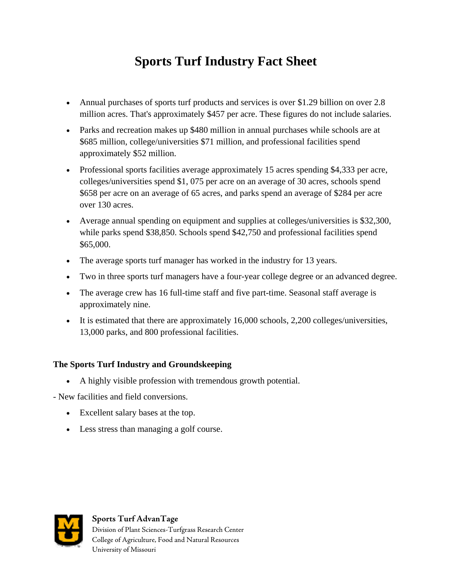# **Sports Turf Industry Fact Sheet**

- Annual purchases of sports turf products and services is over \$1.29 billion on over 2.8 million acres. That's approximately \$457 per acre. These figures do not include salaries.
- Parks and recreation makes up \$480 million in annual purchases while schools are at \$685 million, college/universities \$71 million, and professional facilities spend approximately \$52 million.
- Professional sports facilities average approximately 15 acres spending \$4,333 per acre, colleges/universities spend \$1, 075 per acre on an average of 30 acres, schools spend \$658 per acre on an average of 65 acres, and parks spend an average of \$284 per acre over 130 acres.
- Average annual spending on equipment and supplies at colleges/universities is \$32,300, while parks spend \$38,850. Schools spend \$42,750 and professional facilities spend \$65,000.
- The average sports turf manager has worked in the industry for 13 years.
- Two in three sports turf managers have a four-year college degree or an advanced degree.
- The average crew has 16 full-time staff and five part-time. Seasonal staff average is approximately nine.
- It is estimated that there are approximately 16,000 schools, 2,200 colleges/universities, 13,000 parks, and 800 professional facilities.

### **The Sports Turf Industry and Groundskeeping**

- A highly visible profession with tremendous growth potential.
- New facilities and field conversions.
	- Excellent salary bases at the top.
	- Less stress than managing a golf course.



#### **Sports Turf AdvanTage**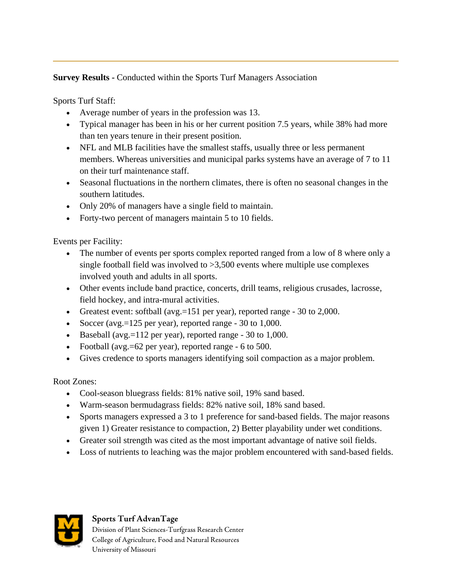## **Survey Results - Conducted within the Sports Turf Managers Association**

Sports Turf Staff:

- Average number of years in the profession was 13.
- Typical manager has been in his or her current position 7.5 years, while 38% had more than ten years tenure in their present position.
- NFL and MLB facilities have the smallest staffs, usually three or less permanent members. Whereas universities and municipal parks systems have an average of 7 to 11 on their turf maintenance staff.
- Seasonal fluctuations in the northern climates, there is often no seasonal changes in the southern latitudes.
- Only 20% of managers have a single field to maintain.
- Forty-two percent of managers maintain 5 to 10 fields.

Events per Facility:

- The number of events per sports complex reported ranged from a low of 8 where only a single football field was involved to >3,500 events where multiple use complexes involved youth and adults in all sports.
- Other events include band practice, concerts, drill teams, religious crusades, lacrosse, field hockey, and intra-mural activities.
- Greatest event: softball (avg.=151 per year), reported range 30 to 2,000.
- Soccer (avg.=125 per year), reported range 30 to 1,000.
- Baseball (avg.=112 per year), reported range  $-30$  to 1,000.
- Football (avg.=62 per year), reported range 6 to 500.
- Gives credence to sports managers identifying soil compaction as a major problem.

Root Zones:

- Cool-season bluegrass fields: 81% native soil, 19% sand based.
- Warm-season bermudagrass fields: 82% native soil, 18% sand based.
- Sports managers expressed a 3 to 1 preference for sand-based fields. The major reasons given 1) Greater resistance to compaction, 2) Better playability under wet conditions.
- Greater soil strength was cited as the most important advantage of native soil fields.
- Loss of nutrients to leaching was the major problem encountered with sand-based fields.



#### **Sports Turf AdvanTage**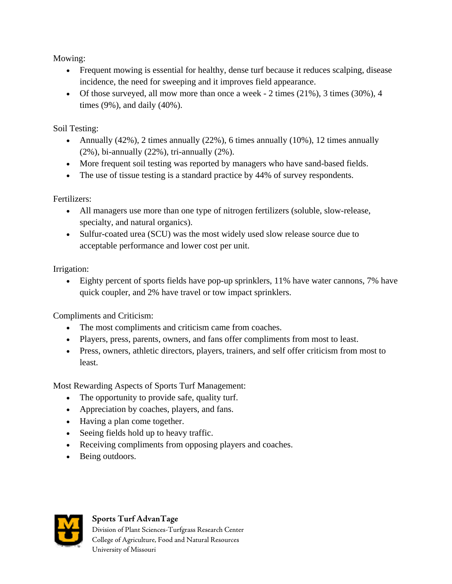Mowing:

- Frequent mowing is essential for healthy, dense turf because it reduces scalping, disease incidence, the need for sweeping and it improves field appearance.
- Of those surveyed, all mow more than once a week  $-2$  times (21%), 3 times (30%), 4 times (9%), and daily (40%).

Soil Testing:

- Annually  $(42\%)$ , 2 times annually  $(22\%)$ , 6 times annually  $(10\%)$ , 12 times annually (2%), bi-annually (22%), tri-annually (2%).
- More frequent soil testing was reported by managers who have sand-based fields.
- The use of tissue testing is a standard practice by 44% of survey respondents.

Fertilizers:

- All managers use more than one type of nitrogen fertilizers (soluble, slow-release, specialty, and natural organics).
- Sulfur-coated urea (SCU) was the most widely used slow release source due to acceptable performance and lower cost per unit.

Irrigation:

• Eighty percent of sports fields have pop-up sprinklers, 11% have water cannons, 7% have quick coupler, and 2% have travel or tow impact sprinklers.

Compliments and Criticism:

- The most compliments and criticism came from coaches.
- Players, press, parents, owners, and fans offer compliments from most to least.
- Press, owners, athletic directors, players, trainers, and self offer criticism from most to least.

Most Rewarding Aspects of Sports Turf Management:

- The opportunity to provide safe, quality turf.
- Appreciation by coaches, players, and fans.
- Having a plan come together.
- Seeing fields hold up to heavy traffic.
- Receiving compliments from opposing players and coaches.
- Being outdoors.



### **Sports Turf AdvanTage**